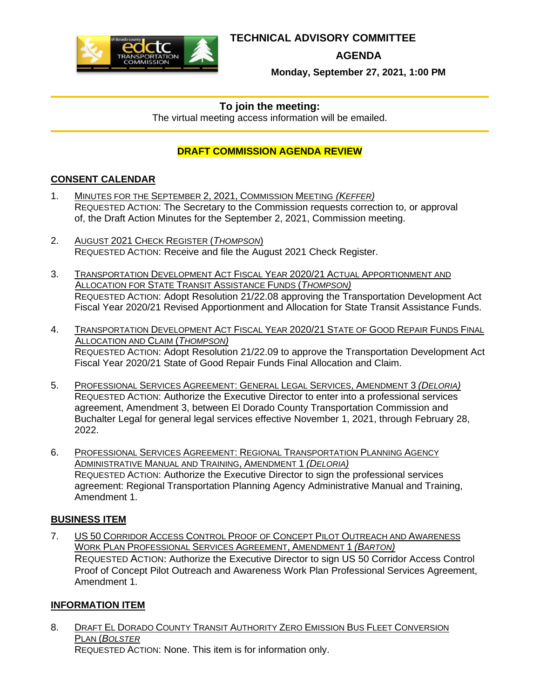

# **TECHNICAL ADVISORY COMMITTEE**

**AGENDA** 

**Monday, September 27, 2021, 1:00 PM** 

# **To join the meeting:**

The virtual meeting access information will be emailed.

# **DRAFT COMMISSION AGENDA REVIEW**

# **CONSENT CALENDAR**

- 1. MINUTES FOR THE SEPTEMBER 2, 2021, COMMISSION MEETING *(KEFFER)*  REQUESTED ACTION: The Secretary to the Commission requests correction to, or approval [of, the Draft Action Minutes for the September 2, 2021, Commission meeting.](#page-2-0)
- 2. AUGUST 2021 CHECK REGISTER (*THOMPSON*) REQUESTED ACTION[: Receive and file the August 2021 Check Registe](#page-6-0)r.
- 3. TRANSPORTATION DEVELOPMENT ACT FISCAL YEAR 2020/21 ACTUAL APPORTIONMENT AND ALLOCATION FOR STATE TRANSIT ASSISTANCE FUNDS (*THOMPSON)* REQUESTED ACTION: Adopt Resolution 21/22.08 approving the Transportation Development Act [Fiscal Year 2020/21 Revised Apportionment and Allocation for State Transit Assis](#page-8-0)tance Funds.
- 4. TRANSPORTATION DEVELOPMENT ACT FISCAL YEAR 2020/21 STATE OF GOOD REPAIR FUNDS FINAL ALLOCATION AND CLAIM (*THOMPSON)* REQUESTED ACTION: Adopt Resolution 21/22.09 to approve the Transportation Development Act [Fiscal Year 2020/21 State of Good Repair Funds Final Allocation and Claim.](#page-12-0)
- 5. PROFESSIONAL SERVICES AGREEMENT: GENERAL LEGAL SERVICES, AMENDMENT 3 *(DELORIA)* REQUESTED ACTION: Authorize the Executive Director to enter into a professional services [agreement, Amendment 3, between El Dorado County Transportation C](#page-17-0)ommission and Buchalter Legal for general legal services effective November 1, 2021, through February 28, 2022.
- 6. PROFESSIONAL SERVICES AGREEMENT: REGIONAL TRANSPORTATION PLANNING AGENCY ADMINISTRATIVE MANUAL AND TRAINING, AMENDMENT 1 *(DELORIA)* REQUESTED ACTION: Authorize the Executive Director to sign the professional services [agreement: Regional Transportation Planning Agency Administrative Manual and Tra](#page-18-0)ining, Amendment 1.

# **BUSINESS ITEM**

7. US 50 CORRIDOR ACCESS CONTROL PROOF OF CONCEPT PILOT OUTREACH AND AWARENESS WORK PLAN PROFESSIONAL SERVICES AGREEMENT, AMENDMENT 1 *(BARTON)* REQUESTED ACTION: Authorize the Executive Director to sign US 50 Corridor Access Control [Proof of Concept Pilot Outreach and Awareness Work Plan Professional](#page-19-0) Services Agreement, Amendment 1.

# **INFORMATION ITEM**

8. DRAFT EL DORADO COUNTY TRANSIT AUTHORITY ZERO EMISSION BUS FLEET CONVERSION PLAN (*BOLSTER* REQUESTED ACTION[: None. This item is for information only.](#page-21-0)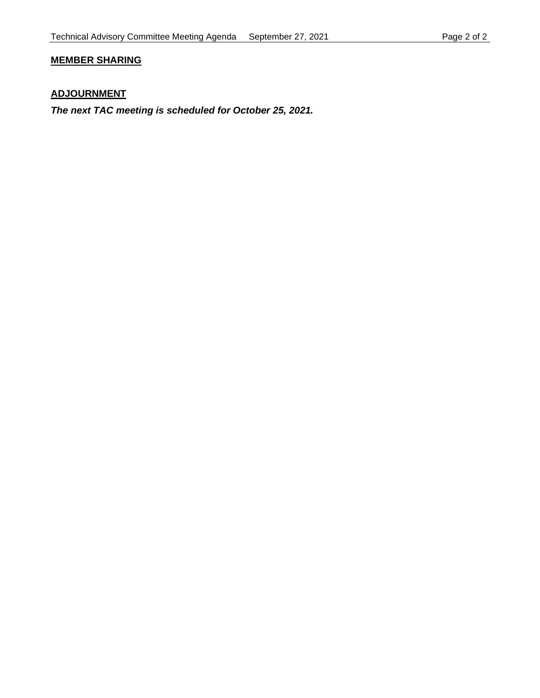# **MEMBER SHARING**

# **ADJOURNMENT**

*The next TAC meeting is scheduled for October 25, 2021.*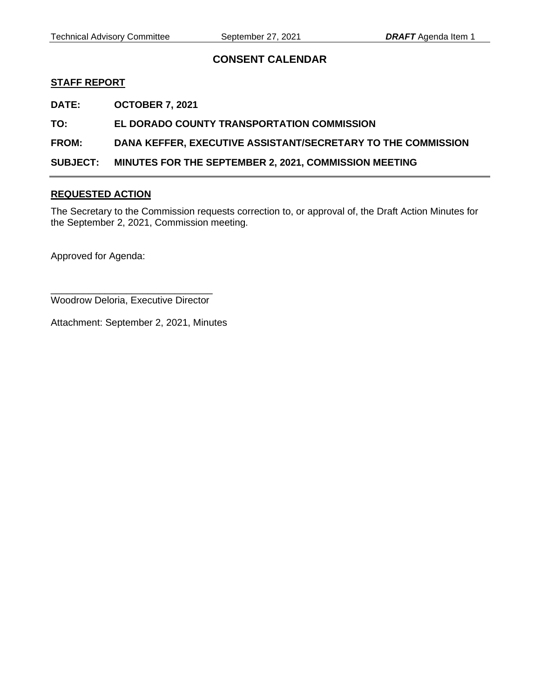# **CONSENT CALENDAR**

## <span id="page-2-0"></span>**STAFF REPORT**

**DATE: OCTOBER 7, 2021** 

## **TO: EL DORADO COUNTY TRANSPORTATION COMMISSION**

## **FROM: DANA KEFFER, EXECUTIVE ASSISTANT/SECRETARY TO THE COMMISSION**

**SUBJECT: MINUTES FOR THE SEPTEMBER 2, 2021, COMMISSION MEETING** 

## **REQUESTED ACTION**

The Secretary to the Commission requests correction to, or approval of, the Draft Action Minutes for the September 2, 2021, Commission meeting.

Approved for Agenda:

\_\_\_\_\_\_\_\_\_\_\_\_\_\_\_\_\_\_\_\_\_\_\_\_\_\_\_\_\_\_ Woodrow Deloria, Executive Director

Attachment: September 2, 2021, Minutes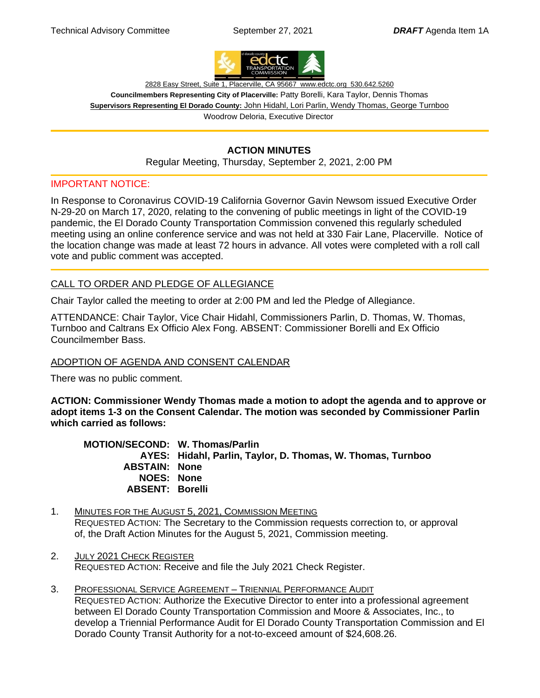

2828 Easy Street, Suite 1, Placerville, CA 95667 www.edctc.org 530.642.5260

**Councilmembers Representing City of Placerville:** Patty Borelli, Kara Taylor, Dennis Thomas **Supervisors Representing El Dorado County:** John Hidahl, Lori Parlin, Wendy Thomas, George Turnboo Woodrow Deloria, Executive Director

# **ACTION MINUTES**

Regular Meeting, Thursday, September 2, 2021, 2:00 PM

## IMPORTANT NOTICE:

In Response to Coronavirus COVID-19 California Governor Gavin Newsom issued Executive Order N-29-20 on March 17, 2020, relating to the convening of public meetings in light of the COVID-19 pandemic, the El Dorado County Transportation Commission convened this regularly scheduled meeting using an online conference service and was not held at 330 Fair Lane, Placerville. Notice of the location change was made at least 72 hours in advance. All votes were completed with a roll call vote and public comment was accepted.

## CALL TO ORDER AND PLEDGE OF ALLEGIANCE

Chair Taylor called the meeting to order at 2:00 PM and led the Pledge of Allegiance.

ATTENDANCE: Chair Taylor, Vice Chair Hidahl, Commissioners Parlin, D. Thomas, W. Thomas, Turnboo and Caltrans Ex Officio Alex Fong. ABSENT: Commissioner Borelli and Ex Officio Councilmember Bass.

## ADOPTION OF AGENDA AND CONSENT CALENDAR

There was no public comment.

**ACTION: Commissioner Wendy Thomas made a motion to adopt the agenda and to approve or adopt items 1-3 on the Consent Calendar. The motion was seconded by Commissioner Parlin which carried as follows:** 

 **MOTION/SECOND: W. Thomas/Parlin AYES: Hidahl, Parlin, Taylor, D. Thomas, W. Thomas, Turnboo ABSTAIN: None NOES: None ABSENT: Borelli**

- 1. MINUTES FOR THE AUGUST 5, 2021, COMMISSION MEETING REQUESTED ACTION: The Secretary to the Commission requests correction to, or approval of, the Draft Action Minutes for the August 5, 2021, Commission meeting.
- 2. JULY 2021 CHECK REGISTER REQUESTED ACTION: Receive and file the July 2021 Check Register.
- 3. PROFESSIONAL SERVICE AGREEMENT TRIENNIAL PERFORMANCE AUDIT REQUESTED ACTION: Authorize the Executive Director to enter into a professional agreement between El Dorado County Transportation Commission and Moore & Associates, Inc., to develop a Triennial Performance Audit for El Dorado County Transportation Commission and El Dorado County Transit Authority for a not-to-exceed amount of \$24,608.26.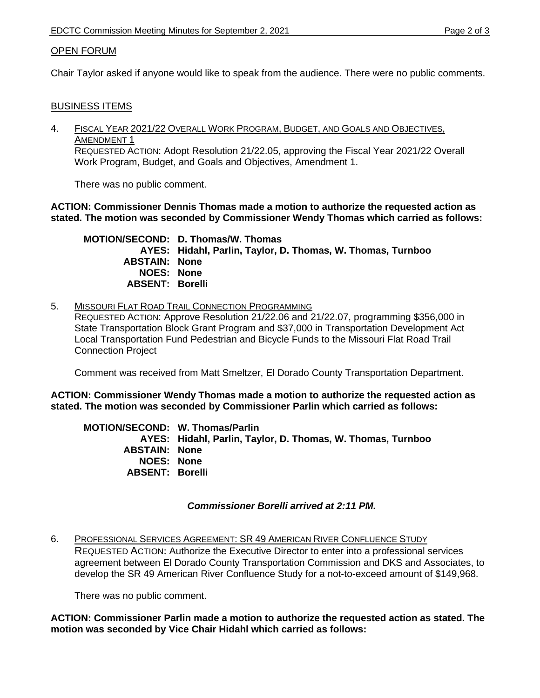## OPEN FORUM

Chair Taylor asked if anyone would like to speak from the audience. There were no public comments.

## BUSINESS ITEMS

4. FISCAL YEAR 2021/22 OVERALL WORK PROGRAM, BUDGET, AND GOALS AND OBJECTIVES, AMENDMENT 1 REQUESTED ACTION: Adopt Resolution 21/22.05, approving the Fiscal Year 2021/22 Overall Work Program, Budget, and Goals and Objectives, Amendment 1.

There was no public comment.

**ACTION: Commissioner Dennis Thomas made a motion to authorize the requested action as stated. The motion was seconded by Commissioner Wendy Thomas which carried as follows:** 

 **MOTION/SECOND: D. Thomas/W. Thomas AYES: Hidahl, Parlin, Taylor, D. Thomas, W. Thomas, Turnboo ABSTAIN: None NOES: None ABSENT: Borelli**

5. MISSOURI FLAT ROAD TRAIL CONNECTION PROGRAMMING REQUESTED ACTION: Approve Resolution 21/22.06 and 21/22.07, programming \$356,000 in State Transportation Block Grant Program and \$37,000 in Transportation Development Act Local Transportation Fund Pedestrian and Bicycle Funds to the Missouri Flat Road Trail Connection Project

Comment was received from Matt Smeltzer, El Dorado County Transportation Department.

**ACTION: Commissioner Wendy Thomas made a motion to authorize the requested action as stated. The motion was seconded by Commissioner Parlin which carried as follows:** 

 **MOTION/SECOND: W. Thomas/Parlin AYES: Hidahl, Parlin, Taylor, D. Thomas, W. Thomas, Turnboo ABSTAIN: None NOES: None ABSENT: Borelli** 

## *Commissioner Borelli arrived at 2:11 PM.*

6. PROFESSIONAL SERVICES AGREEMENT: SR 49 AMERICAN RIVER CONFLUENCE STUDY REQUESTED ACTION: Authorize the Executive Director to enter into a professional services agreement between El Dorado County Transportation Commission and DKS and Associates, to develop the SR 49 American River Confluence Study for a not-to-exceed amount of \$149,968.

There was no public comment.

**ACTION: Commissioner Parlin made a motion to authorize the requested action as stated. The motion was seconded by Vice Chair Hidahl which carried as follows:**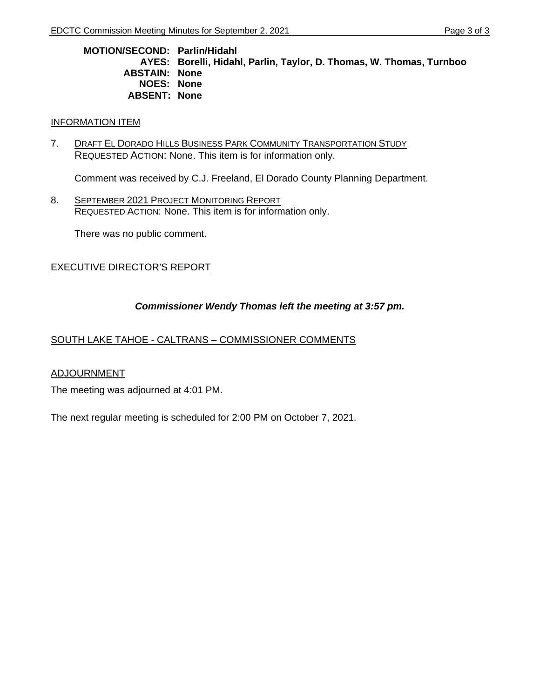**MOTION/SECOND: Parlin/Hidahl AYES: Borelli, Hidahl, Parlin, Taylor, D. Thomas, W. Thomas, Turnboo ABSTAIN: None NOES: None ABSENT: None** 

## INFORMATION ITEM

7. DRAFT EL DORADO HILLS BUSINESS PARK COMMUNITY TRANSPORTATION STUDY REQUESTED ACTION: None. This item is for information only.

Comment was received by C.J. Freeland, El Dorado County Planning Department.

8. SEPTEMBER 2021 PROJECT MONITORING REPORT REQUESTED ACTION: None. This item is for information only.

There was no public comment.

# EXECUTIVE DIRECTOR'S REPORT

# *Commissioner Wendy Thomas left the meeting at 3:57 pm.*

## SOUTH LAKE TAHOE - CALTRANS – COMMISSIONER COMMENTS

## ADJOURNMENT

The meeting was adjourned at 4:01 PM.

The next regular meeting is scheduled for 2:00 PM on October 7, 2021.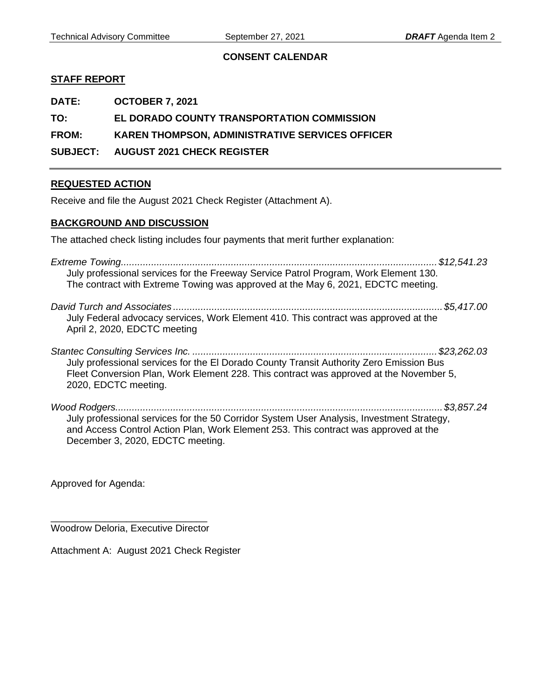## **CONSENT CALENDAR**

## <span id="page-6-0"></span>**STAFF REPORT**

**DATE: OCTOBER 7, 2021** 

**TO: EL DORADO COUNTY TRANSPORTATION COMMISSION** 

**FROM: KAREN THOMPSON, ADMINISTRATIVE SERVICES OFFICER** 

**SUBJECT: AUGUST 2021 CHECK REGISTER** 

## **REQUESTED ACTION**

Receive and file the August 2021 Check Register (Attachment A).

## **BACKGROUND AND DISCUSSION**

The attached check listing includes four payments that merit further explanation:

| July professional services for the Freeway Service Patrol Program, Work Element 130.<br>The contract with Extreme Towing was approved at the May 6, 2021, EDCTC meeting.                                  |  |
|-----------------------------------------------------------------------------------------------------------------------------------------------------------------------------------------------------------|--|
| July Federal advocacy services, Work Element 410. This contract was approved at the<br>April 2, 2020, EDCTC meeting                                                                                       |  |
| July professional services for the El Dorado County Transit Authority Zero Emission Bus<br>Fleet Conversion Plan, Work Element 228. This contract was approved at the November 5,<br>2020, EDCTC meeting. |  |
| July professional services for the 50 Corridor System User Analysis, Investment Strategy,<br>and Access Control Action Plan, Work Element 253. This contract was approved at the                          |  |

Approved for Agenda:

\_\_\_\_\_\_\_\_\_\_\_\_\_\_\_\_\_\_\_\_\_\_\_\_\_\_\_\_\_ Woodrow Deloria, Executive Director

Attachment A: August 2021 Check Register

December 3, 2020, EDCTC meeting.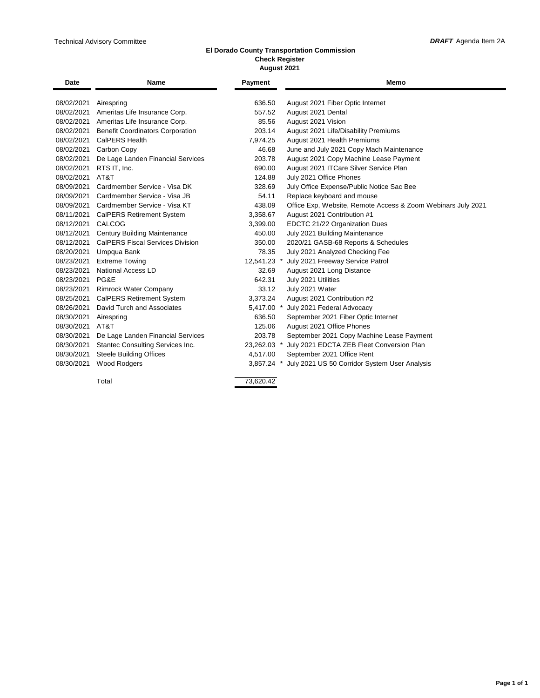٠

#### **El Dorado County Transportation Commission Check Register August 2021**

| <b>Date</b>     | <b>Name</b>                                  | Payment     | Memo                                                         |
|-----------------|----------------------------------------------|-------------|--------------------------------------------------------------|
| 08/02/2021      | Airespring                                   | 636.50      | August 2021 Fiber Optic Internet                             |
| 08/02/2021      | Ameritas Life Insurance Corp.                | 557.52      | August 2021 Dental                                           |
|                 | 08/02/2021 Ameritas Life Insurance Corp.     | 85.56       | August 2021 Vision                                           |
|                 | 08/02/2021 Benefit Coordinators Corporation  | 203.14      | August 2021 Life/Disability Premiums                         |
| 08/02/2021      | CalPERS Health                               | 7.974.25    | August 2021 Health Premiums                                  |
|                 | 08/02/2021 Carbon Copy                       | 46.68       | June and July 2021 Copy Mach Maintenance                     |
|                 | 08/02/2021 De Lage Landen Financial Services | 203.78      | August 2021 Copy Machine Lease Payment                       |
| 08/02/2021      | RTS IT, Inc.                                 | 690.00      | August 2021 ITCare Silver Service Plan                       |
| 08/02/2021      | AT&T                                         | 124.88      | July 2021 Office Phones                                      |
| 08/09/2021      | Cardmember Service - Visa DK                 | 328.69      | July Office Expense/Public Notice Sac Bee                    |
|                 | 08/09/2021 Cardmember Service - Visa JB      | 54.11       | Replace keyboard and mouse                                   |
|                 | 08/09/2021 Cardmember Service - Visa KT      | 438.09      | Office Exp, Website, Remote Access & Zoom Webinars July 2021 |
| 08/11/2021      | <b>CalPERS Retirement System</b>             | 3,358.67    | August 2021 Contribution #1                                  |
| 08/12/2021      | CALCOG                                       | 3,399.00    | EDCTC 21/22 Organization Dues                                |
|                 | 08/12/2021 Century Building Maintenance      | 450.00      | July 2021 Building Maintenance                               |
|                 | 08/12/2021 CalPERS Fiscal Services Division  | 350.00      | 2020/21 GASB-68 Reports & Schedules                          |
| 08/20/2021      | Umpqua Bank                                  | 78.35       | July 2021 Analyzed Checking Fee                              |
| 08/23/2021      | <b>Extreme Towing</b>                        | 12,541.23 * | July 2021 Freeway Service Patrol                             |
| 08/23/2021      | <b>National Access LD</b>                    | 32.69       | August 2021 Long Distance                                    |
| 08/23/2021 PG&E |                                              | 642.31      | July 2021 Utilities                                          |
| 08/23/2021      | <b>Rimrock Water Company</b>                 | 33.12       | July 2021 Water                                              |
| 08/25/2021      | <b>CalPERS Retirement System</b>             | 3,373.24    | August 2021 Contribution #2                                  |
| 08/26/2021      | David Turch and Associates                   | 5,417.00 *  | July 2021 Federal Advocacy                                   |
| 08/30/2021      | Airespring                                   | 636.50      | September 2021 Fiber Optic Internet                          |
| 08/30/2021      | AT&T                                         | 125.06      | August 2021 Office Phones                                    |
| 08/30/2021      | De Lage Landen Financial Services            | 203.78      | September 2021 Copy Machine Lease Payment                    |
| 08/30/2021      | Stantec Consulting Services Inc.             | 23,262.03 * | July 2021 EDCTA ZEB Fleet Conversion Plan                    |
| 08/30/2021      | <b>Steele Building Offices</b>               | 4,517.00    | September 2021 Office Rent                                   |
| 08/30/2021      | <b>Wood Rodgers</b>                          | 3,857.24 *  | July 2021 US 50 Corridor System User Analysis                |
|                 |                                              |             |                                                              |
|                 | Total                                        | 73,620.42   |                                                              |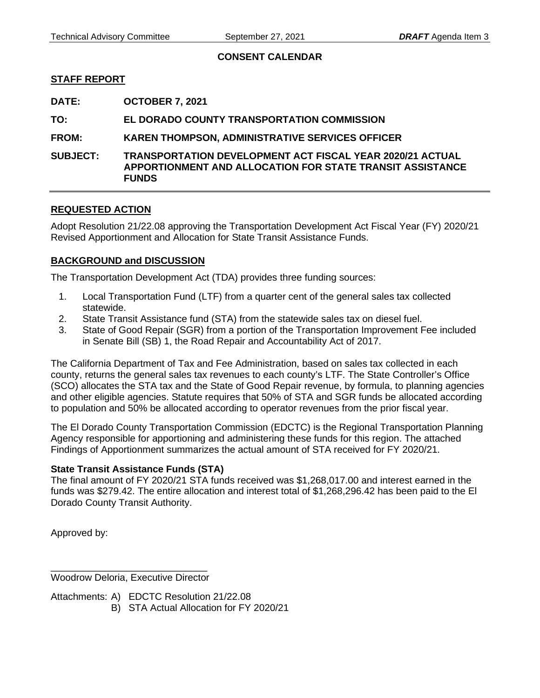## **CONSENT CALENDAR**

## <span id="page-8-0"></span>**STAFF REPORT**

**DATE: OCTOBER 7, 2021** 

**TO: EL DORADO COUNTY TRANSPORTATION COMMISSION** 

## **FROM: KAREN THOMPSON, ADMINISTRATIVE SERVICES OFFICER**

**SUBJECT: TRANSPORTATION DEVELOPMENT ACT FISCAL YEAR 2020/21 ACTUAL APPORTIONMENT AND ALLOCATION FOR STATE TRANSIT ASSISTANCE FUNDS** 

## **REQUESTED ACTION**

Adopt Resolution 21/22.08 approving the Transportation Development Act Fiscal Year (FY) 2020/21 Revised Apportionment and Allocation for State Transit Assistance Funds.

## **BACKGROUND and DISCUSSION**

The Transportation Development Act (TDA) provides three funding sources:

- 1. Local Transportation Fund (LTF) from a quarter cent of the general sales tax collected statewide.
- 2. State Transit Assistance fund (STA) from the statewide sales tax on diesel fuel.
- 3. State of Good Repair (SGR) from a portion of the Transportation Improvement Fee included in Senate Bill (SB) 1, the Road Repair and Accountability Act of 2017.

The California Department of Tax and Fee Administration, based on sales tax collected in each county, returns the general sales tax revenues to each county's LTF. The State Controller's Office (SCO) allocates the STA tax and the State of Good Repair revenue, by formula, to planning agencies and other eligible agencies. Statute requires that 50% of STA and SGR funds be allocated according to population and 50% be allocated according to operator revenues from the prior fiscal year.

The El Dorado County Transportation Commission (EDCTC) is the Regional Transportation Planning Agency responsible for apportioning and administering these funds for this region. The attached Findings of Apportionment summarizes the actual amount of STA received for FY 2020/21.

## **State Transit Assistance Funds (STA)**

The final amount of FY 2020/21 STA funds received was \$1,268,017.00 and interest earned in the funds was \$279.42. The entire allocation and interest total of \$1,268,296.42 has been paid to the El Dorado County Transit Authority.

Approved by:

\_\_\_\_\_\_\_\_\_\_\_\_\_\_\_\_\_\_\_\_\_\_\_\_\_\_\_\_\_ Woodrow Deloria, Executive Director

Attachments: A) EDCTC Resolution 21/22.08

B) STA Actual Allocation for FY 2020/21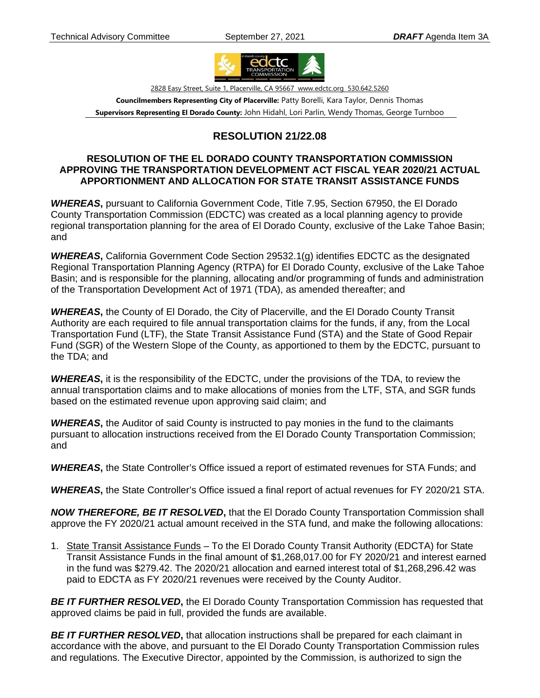

2828 Easy Street, Suite 1, Placerville, CA 95667 www.edctc.org 530.642.5260

**Councilmembers Representing City of Placerville:** Patty Borelli, Kara Taylor, Dennis Thomas **Supervisors Representing El Dorado County:** John Hidahl, Lori Parlin, Wendy Thomas, George Turnboo

# **RESOLUTION 21/22.08**

## **RESOLUTION OF THE EL DORADO COUNTY TRANSPORTATION COMMISSION APPROVING THE TRANSPORTATION DEVELOPMENT ACT FISCAL YEAR 2020/21 ACTUAL APPORTIONMENT AND ALLOCATION FOR STATE TRANSIT ASSISTANCE FUNDS**

*WHEREAS***,** pursuant to California Government Code, Title 7.95, Section 67950, the El Dorado County Transportation Commission (EDCTC) was created as a local planning agency to provide regional transportation planning for the area of El Dorado County, exclusive of the Lake Tahoe Basin; and

*WHEREAS***,** California Government Code Section 29532.1(g) identifies EDCTC as the designated Regional Transportation Planning Agency (RTPA) for El Dorado County, exclusive of the Lake Tahoe Basin; and is responsible for the planning, allocating and/or programming of funds and administration of the Transportation Development Act of 1971 (TDA), as amended thereafter; and

*WHEREAS***,** the County of El Dorado, the City of Placerville, and the El Dorado County Transit Authority are each required to file annual transportation claims for the funds, if any, from the Local Transportation Fund (LTF), the State Transit Assistance Fund (STA) and the State of Good Repair Fund (SGR) of the Western Slope of the County, as apportioned to them by the EDCTC, pursuant to the TDA; and

*WHEREAS***,** it is the responsibility of the EDCTC, under the provisions of the TDA, to review the annual transportation claims and to make allocations of monies from the LTF, STA, and SGR funds based on the estimated revenue upon approving said claim; and

*WHEREAS***,** the Auditor of said County is instructed to pay monies in the fund to the claimants pursuant to allocation instructions received from the El Dorado County Transportation Commission; and

**WHEREAS**, the State Controller's Office issued a report of estimated revenues for STA Funds; and

*WHEREAS***,** the State Controller's Office issued a final report of actual revenues for FY 2020/21 STA.

*NOW THEREFORE, BE IT RESOLVED***,** that the El Dorado County Transportation Commission shall approve the FY 2020/21 actual amount received in the STA fund, and make the following allocations:

1. State Transit Assistance Funds – To the El Dorado County Transit Authority (EDCTA) for State Transit Assistance Funds in the final amount of \$1,268,017.00 for FY 2020/21 and interest earned in the fund was \$279.42. The 2020/21 allocation and earned interest total of \$1,268,296.42 was paid to EDCTA as FY 2020/21 revenues were received by the County Auditor.

**BE IT FURTHER RESOLVED**, the El Dorado County Transportation Commission has requested that approved claims be paid in full, provided the funds are available.

*BE IT FURTHER RESOLVED***,** that allocation instructions shall be prepared for each claimant in accordance with the above, and pursuant to the El Dorado County Transportation Commission rules and regulations. The Executive Director, appointed by the Commission, is authorized to sign the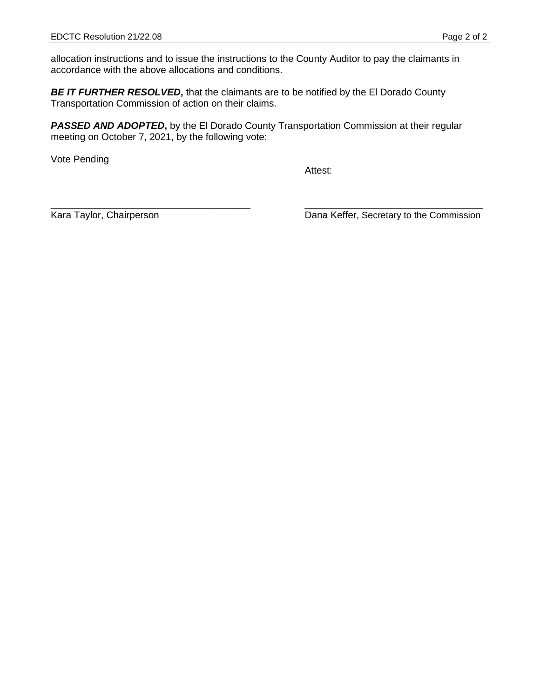allocation instructions and to issue the instructions to the County Auditor to pay the claimants in accordance with the above allocations and conditions.

**BE IT FURTHER RESOLVED**, that the claimants are to be notified by the El Dorado County Transportation Commission of action on their claims.

**PASSED AND ADOPTED,** by the El Dorado County Transportation Commission at their regular meeting on October 7, 2021, by the following vote:

Vote Pending

Attest:

\_\_\_\_\_\_\_\_\_\_\_\_\_\_\_\_\_\_\_\_\_\_\_\_\_\_\_\_\_\_\_\_\_\_\_\_\_ \_\_\_\_\_\_\_\_\_\_\_\_\_\_\_\_\_\_\_\_\_\_\_\_\_\_\_\_\_\_\_\_\_

Kara Taylor, Chairperson **National Commission** Dana Keffer, Secretary to the Commission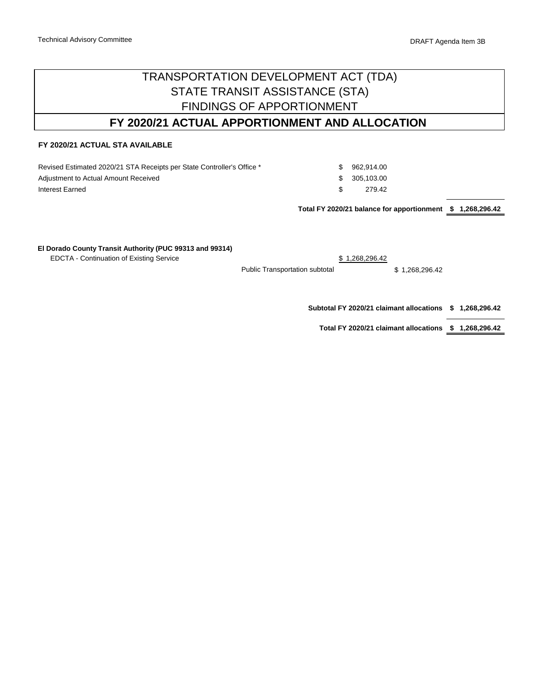# TRANSPORTATION DEVELOPMENT ACT (TDA) FINDINGS OF APPORTIONMENT STATE TRANSIT ASSISTANCE (STA)

# **FY 2020/21 ACTUAL APPORTIONMENT AND ALLOCATION**

### **FY 2020/21 ACTUAL STA AVAILABLE**

Revised Estimated 2020/21 STA Receipts per State Controller's Office \* Adjustment to Actual Amount Received Interest Earned

\$ 962,914.00 \$ 305,103.00 \$ 279.42

**\$ 1,268,296.42 Total FY 2020/21 balance for apportionment**

#### **El Dorado County Transit Authority (PUC 99313 and 99314)**

EDCTA - Continuation of Existing Service  $$ 1,268,296.42$ 

Public Transportation subtotal \$ 1,268,296.42

**\$ 1,268,296.42 Subtotal FY 2020/21 claimant allocations**

**\$ 1,268,296.42 Total FY 2020/21 claimant allocations**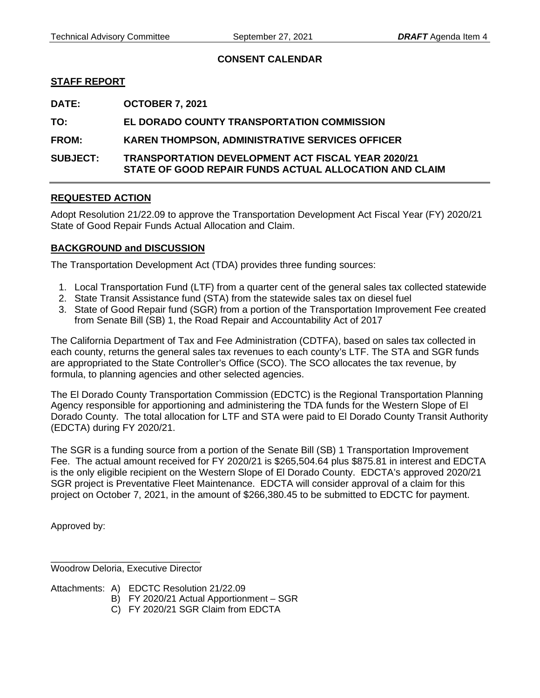## **CONSENT CALENDAR**

## <span id="page-12-0"></span>**STAFF REPORT**

**DATE: OCTOBER 7, 2021** 

**TO: EL DORADO COUNTY TRANSPORTATION COMMISSION** 

**FROM: KAREN THOMPSON, ADMINISTRATIVE SERVICES OFFICER** 

**SUBJECT: TRANSPORTATION DEVELOPMENT ACT FISCAL YEAR 2020/21 STATE OF GOOD REPAIR FUNDS ACTUAL ALLOCATION AND CLAIM** 

## **REQUESTED ACTION**

Adopt Resolution 21/22.09 to approve the Transportation Development Act Fiscal Year (FY) 2020/21 State of Good Repair Funds Actual Allocation and Claim.

## **BACKGROUND and DISCUSSION**

The Transportation Development Act (TDA) provides three funding sources:

- 1. Local Transportation Fund (LTF) from a quarter cent of the general sales tax collected statewide
- 2. State Transit Assistance fund (STA) from the statewide sales tax on diesel fuel
- 3. State of Good Repair fund (SGR) from a portion of the Transportation Improvement Fee created from Senate Bill (SB) 1, the Road Repair and Accountability Act of 2017

The California Department of Tax and Fee Administration (CDTFA), based on sales tax collected in each county, returns the general sales tax revenues to each county's LTF. The STA and SGR funds are appropriated to the State Controller's Office (SCO). The SCO allocates the tax revenue, by formula, to planning agencies and other selected agencies.

The El Dorado County Transportation Commission (EDCTC) is the Regional Transportation Planning Agency responsible for apportioning and administering the TDA funds for the Western Slope of El Dorado County. The total allocation for LTF and STA were paid to El Dorado County Transit Authority (EDCTA) during FY 2020/21.

The SGR is a funding source from a portion of the Senate Bill (SB) 1 Transportation Improvement Fee. The actual amount received for FY 2020/21 is \$265,504.64 plus \$875.81 in interest and EDCTA is the only eligible recipient on the Western Slope of El Dorado County. EDCTA's approved 2020/21 SGR project is Preventative Fleet Maintenance. EDCTA will consider approval of a claim for this project on October 7, 2021, in the amount of \$266,380.45 to be submitted to EDCTC for payment.

Approved by:

\_\_\_\_\_\_\_\_\_\_\_\_\_\_\_\_\_\_\_\_\_\_\_\_\_\_\_\_\_ Woodrow Deloria, Executive Director

Attachments: A) EDCTC Resolution 21/22.09

- B) FY 2020/21 Actual Apportionment SGR
- C) FY 2020/21 SGR Claim from EDCTA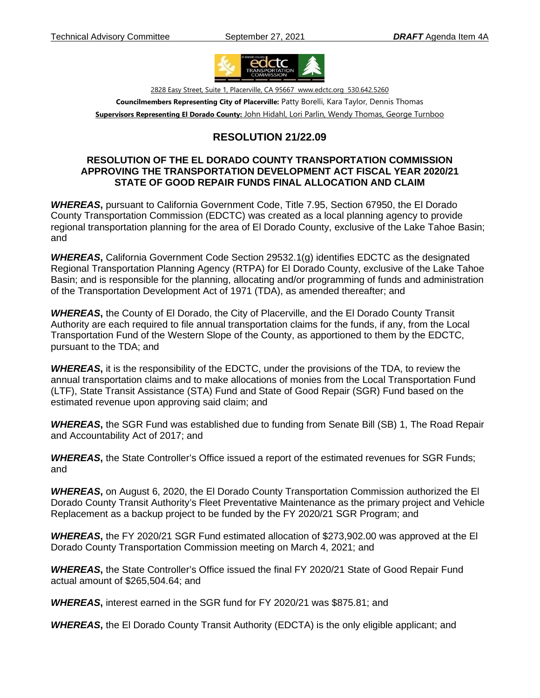

2828 Easy Street, Suite 1, Placerville, CA 95667 www.edctc.org 530.642.5260 **Councilmembers Representing City of Placerville:** Patty Borelli, Kara Taylor, Dennis Thomas

**Supervisors Representing El Dorado County:** John Hidahl, Lori Parlin, Wendy Thomas, George Turnboo

# **RESOLUTION 21/22.09**

## **RESOLUTION OF THE EL DORADO COUNTY TRANSPORTATION COMMISSION APPROVING THE TRANSPORTATION DEVELOPMENT ACT FISCAL YEAR 2020/21 STATE OF GOOD REPAIR FUNDS FINAL ALLOCATION AND CLAIM**

*WHEREAS***,** pursuant to California Government Code, Title 7.95, Section 67950, the El Dorado County Transportation Commission (EDCTC) was created as a local planning agency to provide regional transportation planning for the area of El Dorado County, exclusive of the Lake Tahoe Basin; and

*WHEREAS***,** California Government Code Section 29532.1(g) identifies EDCTC as the designated Regional Transportation Planning Agency (RTPA) for El Dorado County, exclusive of the Lake Tahoe Basin; and is responsible for the planning, allocating and/or programming of funds and administration of the Transportation Development Act of 1971 (TDA), as amended thereafter; and

*WHEREAS***,** the County of El Dorado, the City of Placerville, and the El Dorado County Transit Authority are each required to file annual transportation claims for the funds, if any, from the Local Transportation Fund of the Western Slope of the County, as apportioned to them by the EDCTC, pursuant to the TDA; and

*WHEREAS***,** it is the responsibility of the EDCTC, under the provisions of the TDA, to review the annual transportation claims and to make allocations of monies from the Local Transportation Fund (LTF), State Transit Assistance (STA) Fund and State of Good Repair (SGR) Fund based on the estimated revenue upon approving said claim; and

*WHEREAS***,** the SGR Fund was established due to funding from Senate Bill (SB) 1, The Road Repair and Accountability Act of 2017; and

*WHEREAS***,** the State Controller's Office issued a report of the estimated revenues for SGR Funds; and

*WHEREAS***,** on August 6, 2020, the El Dorado County Transportation Commission authorized the El Dorado County Transit Authority's Fleet Preventative Maintenance as the primary project and Vehicle Replacement as a backup project to be funded by the FY 2020/21 SGR Program; and

*WHEREAS***,** the FY 2020/21 SGR Fund estimated allocation of \$273,902.00 was approved at the El Dorado County Transportation Commission meeting on March 4, 2021; and

*WHEREAS***,** the State Controller's Office issued the final FY 2020/21 State of Good Repair Fund actual amount of \$265,504.64; and

*WHEREAS***,** interest earned in the SGR fund for FY 2020/21 was \$875.81; and

*WHEREAS***,** the El Dorado County Transit Authority (EDCTA) is the only eligible applicant; and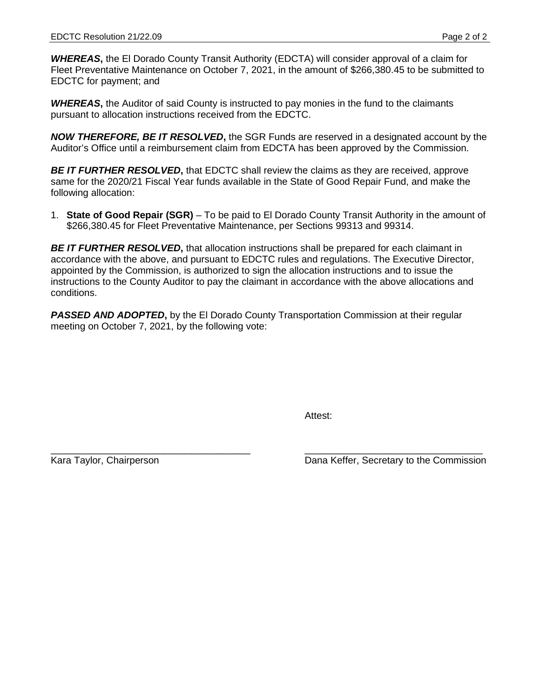*WHEREAS***,** the El Dorado County Transit Authority (EDCTA) will consider approval of a claim for Fleet Preventative Maintenance on October 7, 2021, in the amount of \$266,380.45 to be submitted to EDCTC for payment; and

**WHEREAS**, the Auditor of said County is instructed to pay monies in the fund to the claimants pursuant to allocation instructions received from the EDCTC.

*NOW THEREFORE, BE IT RESOLVED***,** the SGR Funds are reserved in a designated account by the Auditor's Office until a reimbursement claim from EDCTA has been approved by the Commission.

*BE IT FURTHER RESOLVED***,** that EDCTC shall review the claims as they are received, approve same for the 2020/21 Fiscal Year funds available in the State of Good Repair Fund, and make the following allocation:

1. **State of Good Repair (SGR)** – To be paid to El Dorado County Transit Authority in the amount of \$266,380.45 for Fleet Preventative Maintenance, per Sections 99313 and 99314.

*BE IT FURTHER RESOLVED***,** that allocation instructions shall be prepared for each claimant in accordance with the above, and pursuant to EDCTC rules and regulations. The Executive Director, appointed by the Commission, is authorized to sign the allocation instructions and to issue the instructions to the County Auditor to pay the claimant in accordance with the above allocations and conditions.

**PASSED AND ADOPTED,** by the EI Dorado County Transportation Commission at their regular meeting on October 7, 2021, by the following vote:

Attest:

\_\_\_\_\_\_\_\_\_\_\_\_\_\_\_\_\_\_\_\_\_\_\_\_\_\_\_\_\_\_\_\_\_\_\_\_\_ \_\_\_\_\_\_\_\_\_\_\_\_\_\_\_\_\_\_\_\_\_\_\_\_\_\_\_\_\_\_\_\_\_ Kara Taylor, Chairperson **National Commission** Dana Keffer, Secretary to the Commission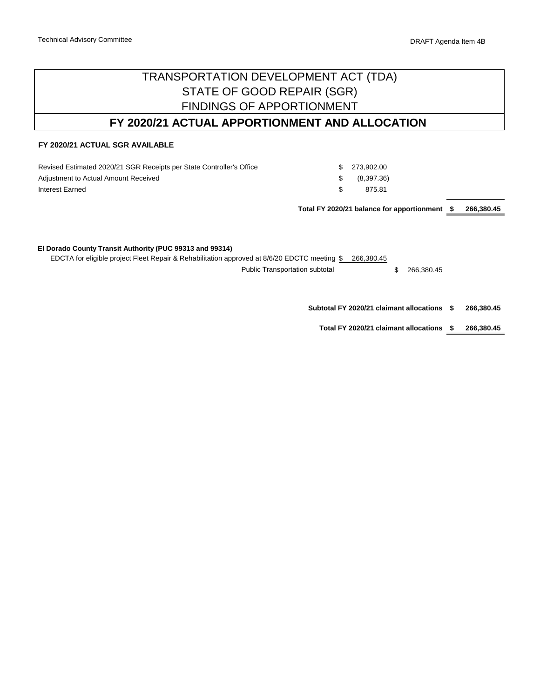# TRANSPORTATION DEVELOPMENT ACT (TDA) FINDINGS OF APPORTIONMENT STATE OF GOOD REPAIR (SGR)

# **FY 2020/21 ACTUAL APPORTIONMENT AND ALLOCATION**

### **FY 2020/21 ACTUAL SGR AVAILABLE**

| Revised Estimated 2020/21 SGR Receipts per State Controller's Office | S.  | 273,902.00 |
|----------------------------------------------------------------------|-----|------------|
| Adjustment to Actual Amount Received                                 | S.  | (8,397.36) |
| Interest Earned                                                      | \$. | 875.81     |
|                                                                      |     |            |

**\$ 266,380.45 Total FY 2020/21 balance for apportionment**

#### **El Dorado County Transit Authority (PUC 99313 and 99314)**

EDCTA for eligible project Fleet Repair & Rehabilitation approved at 8/6/20 EDCTC meeting \$ 266,380.45 Public Transportation subtotal  $$266,380.45$ 

> **\$ 266,380.45 Subtotal FY 2020/21 claimant allocations**

**\$ 266,380.45 Total FY 2020/21 claimant allocations**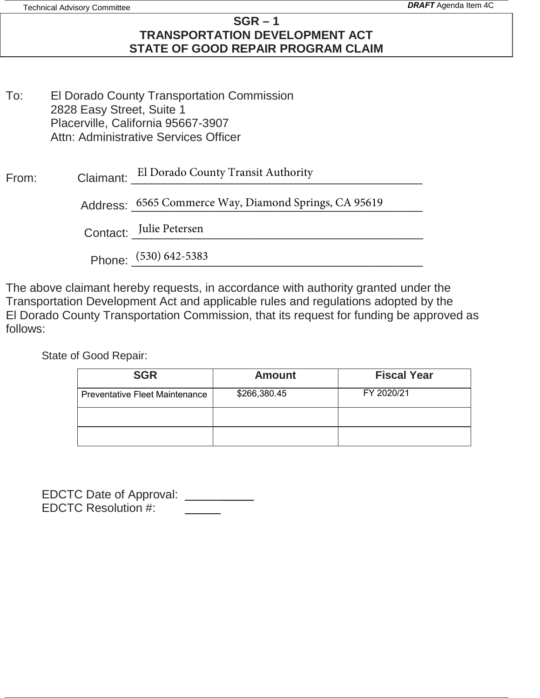# **SGR – 1 TRANSPORTATION DEVELOPMENT ACT STATE OF GOOD REPAIR PROGRAM CLAIM**

To: El Dorado County Transportation Commission 2828 Easy Street, Suite 1 Placerville, California 95667-3907 Attn: Administrative Services Officer

| From: |  | Claimant: El Dorado County Transit Authority |
|-------|--|----------------------------------------------|
|-------|--|----------------------------------------------|

Address: 6565 Commerce Way, Diamond Springs, CA 95619

Contact: <u>Julie Petersen</u>

Phone:  $\frac{(530) 642 - 5383}{2}$ 

The above claimant hereby requests, in accordance with authority granted under the Transportation Development Act and applicable rules and regulations adopted by the El Dorado County Transportation Commission, that its request for funding be approved as follows:

State of Good Repair:

| <b>SGR</b>                            | <b>Amount</b> | <b>Fiscal Year</b> |
|---------------------------------------|---------------|--------------------|
| <b>Preventative Fleet Maintenance</b> | \$266,380.45  | FY 2020/21         |
|                                       |               |                    |
|                                       |               |                    |

| <b>EDCTC Date of Approval:</b> |  |
|--------------------------------|--|
| <b>EDCTC Resolution #:</b>     |  |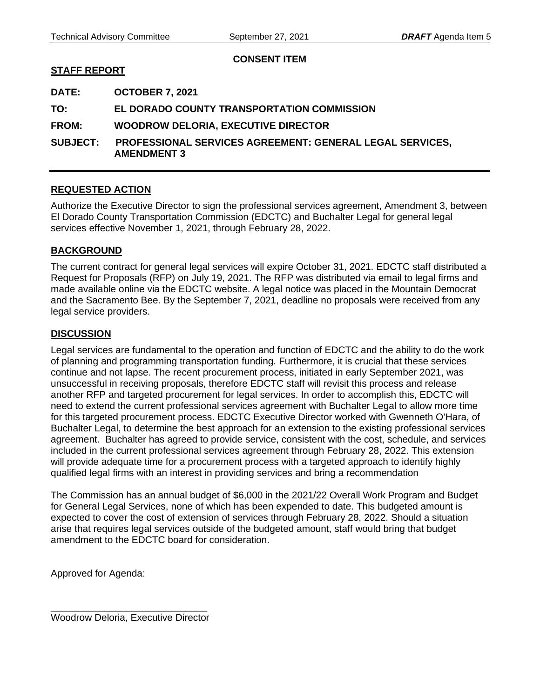## **CONSENT ITEM**

## <span id="page-17-0"></span>**STAFF REPORT**

**DATE: OCTOBER 7, 2021** 

**TO: EL DORADO COUNTY TRANSPORTATION COMMISSION** 

**FROM: WOODROW DELORIA, EXECUTIVE DIRECTOR** 

**SUBJECT: PROFESSIONAL SERVICES AGREEMENT: GENERAL LEGAL SERVICES, AMENDMENT 3** 

## **REQUESTED ACTION**

Authorize the Executive Director to sign the professional services agreement, Amendment 3, between El Dorado County Transportation Commission (EDCTC) and Buchalter Legal for general legal services effective November 1, 2021, through February 28, 2022.

## **BACKGROUND**

The current contract for general legal services will expire October 31, 2021. EDCTC staff distributed a Request for Proposals (RFP) on July 19, 2021. The RFP was distributed via email to legal firms and made available online via the EDCTC website. A legal notice was placed in the Mountain Democrat and the Sacramento Bee. By the September 7, 2021, deadline no proposals were received from any legal service providers.

## **DISCUSSION**

Legal services are fundamental to the operation and function of EDCTC and the ability to do the work of planning and programming transportation funding. Furthermore, it is crucial that these services continue and not lapse. The recent procurement process, initiated in early September 2021, was unsuccessful in receiving proposals, therefore EDCTC staff will revisit this process and release another RFP and targeted procurement for legal services. In order to accomplish this, EDCTC will need to extend the current professional services agreement with Buchalter Legal to allow more time for this targeted procurement process. EDCTC Executive Director worked with Gwenneth O'Hara, of Buchalter Legal, to determine the best approach for an extension to the existing professional services agreement. Buchalter has agreed to provide service, consistent with the cost, schedule, and services included in the current professional services agreement through February 28, 2022. This extension will provide adequate time for a procurement process with a targeted approach to identify highly qualified legal firms with an interest in providing services and bring a recommendation

The Commission has an annual budget of \$6,000 in the 2021/22 Overall Work Program and Budget for General Legal Services, none of which has been expended to date. This budgeted amount is expected to cover the cost of extension of services through February 28, 2022. Should a situation arise that requires legal services outside of the budgeted amount, staff would bring that budget amendment to the EDCTC board for consideration.

Approved for Agenda:

\_\_\_\_\_\_\_\_\_\_\_\_\_\_\_\_\_\_\_\_\_\_\_\_\_\_\_\_\_ Woodrow Deloria, Executive Director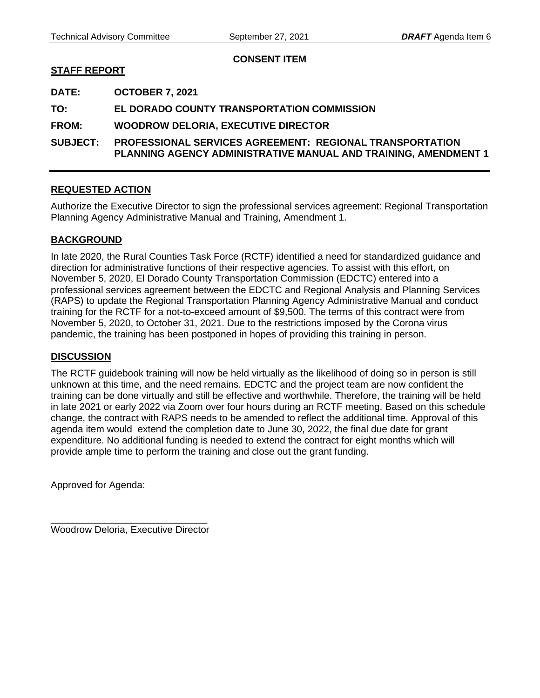## **CONSENT ITEM**

## <span id="page-18-0"></span>**STAFF REPORT**

**DATE: OCTOBER 7, 2021** 

**TO: EL DORADO COUNTY TRANSPORTATION COMMISSION** 

**FROM: WOODROW DELORIA, EXECUTIVE DIRECTOR** 

**SUBJECT: PROFESSIONAL SERVICES AGREEMENT: REGIONAL TRANSPORTATION PLANNING AGENCY ADMINISTRATIVE MANUAL AND TRAINING, AMENDMENT 1**

## **REQUESTED ACTION**

Authorize the Executive Director to sign the professional services agreement: Regional Transportation Planning Agency Administrative Manual and Training, Amendment 1.

## **BACKGROUND**

In late 2020, the Rural Counties Task Force (RCTF) identified a need for standardized guidance and direction for administrative functions of their respective agencies. To assist with this effort, on November 5, 2020, El Dorado County Transportation Commission (EDCTC) entered into a professional services agreement between the EDCTC and Regional Analysis and Planning Services (RAPS) to update the Regional Transportation Planning Agency Administrative Manual and conduct training for the RCTF for a not-to-exceed amount of \$9,500. The terms of this contract were from November 5, 2020, to October 31, 2021. Due to the restrictions imposed by the Corona virus pandemic, the training has been postponed in hopes of providing this training in person.

## **DISCUSSION**

The RCTF guidebook training will now be held virtually as the likelihood of doing so in person is still unknown at this time, and the need remains. EDCTC and the project team are now confident the training can be done virtually and still be effective and worthwhile. Therefore, the training will be held in late 2021 or early 2022 via Zoom over four hours during an RCTF meeting. Based on this schedule change, the contract with RAPS needs to be amended to reflect the additional time. Approval of this agenda item would extend the completion date to June 30, 2022, the final due date for grant expenditure. No additional funding is needed to extend the contract for eight months which will provide ample time to perform the training and close out the grant funding.

Approved for Agenda:

\_\_\_\_\_\_\_\_\_\_\_\_\_\_\_\_\_\_\_\_\_\_\_\_\_\_\_\_\_ Woodrow Deloria, Executive Director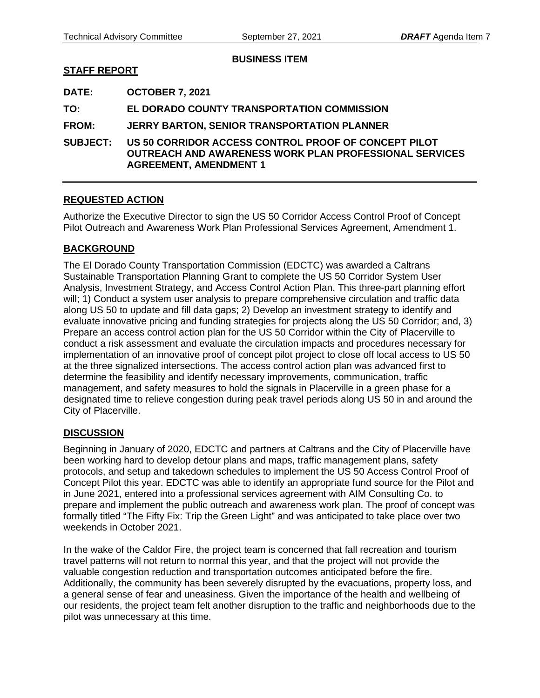**BUSINESS ITEM** 

# <span id="page-19-0"></span>**STAFF REPORT**

**DATE: OCTOBER 7, 2021** 

**TO: EL DORADO COUNTY TRANSPORTATION COMMISSION** 

**FROM: JERRY BARTON, SENIOR TRANSPORTATION PLANNER** 

**SUBJECT: US 50 CORRIDOR ACCESS CONTROL PROOF OF CONCEPT PILOT OUTREACH AND AWARENESS WORK PLAN PROFESSIONAL SERVICES AGREEMENT, AMENDMENT 1**

# **REQUESTED ACTION**

Authorize the Executive Director to sign the US 50 Corridor Access Control Proof of Concept Pilot Outreach and Awareness Work Plan Professional Services Agreement, Amendment 1.

# **BACKGROUND**

The El Dorado County Transportation Commission (EDCTC) was awarded a Caltrans Sustainable Transportation Planning Grant to complete the US 50 Corridor System User Analysis, Investment Strategy, and Access Control Action Plan. This three-part planning effort will; 1) Conduct a system user analysis to prepare comprehensive circulation and traffic data along US 50 to update and fill data gaps; 2) Develop an investment strategy to identify and evaluate innovative pricing and funding strategies for projects along the US 50 Corridor; and, 3) Prepare an access control action plan for the US 50 Corridor within the City of Placerville to conduct a risk assessment and evaluate the circulation impacts and procedures necessary for implementation of an innovative proof of concept pilot project to close off local access to US 50 at the three signalized intersections. The access control action plan was advanced first to determine the feasibility and identify necessary improvements, communication, traffic management, and safety measures to hold the signals in Placerville in a green phase for a designated time to relieve congestion during peak travel periods along US 50 in and around the City of Placerville.

## **DISCUSSION**

Beginning in January of 2020, EDCTC and partners at Caltrans and the City of Placerville have been working hard to develop detour plans and maps, traffic management plans, safety protocols, and setup and takedown schedules to implement the US 50 Access Control Proof of Concept Pilot this year. EDCTC was able to identify an appropriate fund source for the Pilot and in June 2021, entered into a professional services agreement with AIM Consulting Co. to prepare and implement the public outreach and awareness work plan. The proof of concept was formally titled "The Fifty Fix: Trip the Green Light" and was anticipated to take place over two weekends in October 2021.

In the wake of the Caldor Fire, the project team is concerned that fall recreation and tourism travel patterns will not return to normal this year, and that the project will not provide the valuable congestion reduction and transportation outcomes anticipated before the fire. Additionally, the community has been severely disrupted by the evacuations, property loss, and a general sense of fear and uneasiness. Given the importance of the health and wellbeing of our residents, the project team felt another disruption to the traffic and neighborhoods due to the pilot was unnecessary at this time.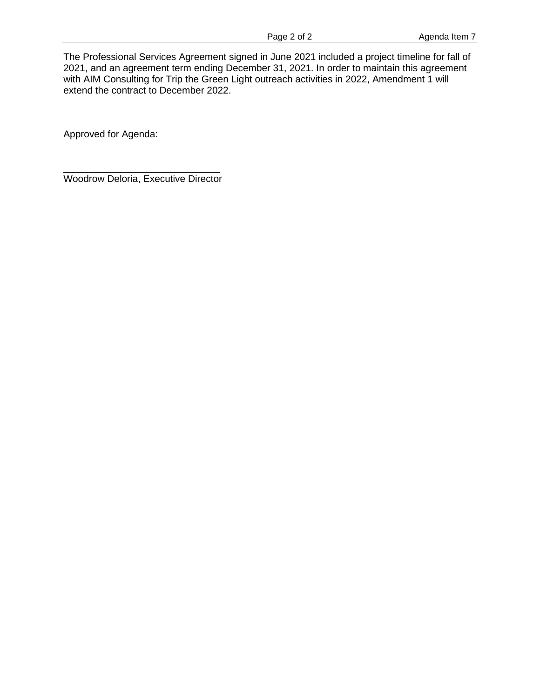The Professional Services Agreement signed in June 2021 included a project timeline for fall of 2021, and an agreement term ending December 31, 2021. In order to maintain this agreement with AIM Consulting for Trip the Green Light outreach activities in 2022, Amendment 1 will extend the contract to December 2022.

Approved for Agenda:

\_\_\_\_\_\_\_\_\_\_\_\_\_\_\_\_\_\_\_\_\_\_\_\_\_\_\_\_\_ Woodrow Deloria, Executive Director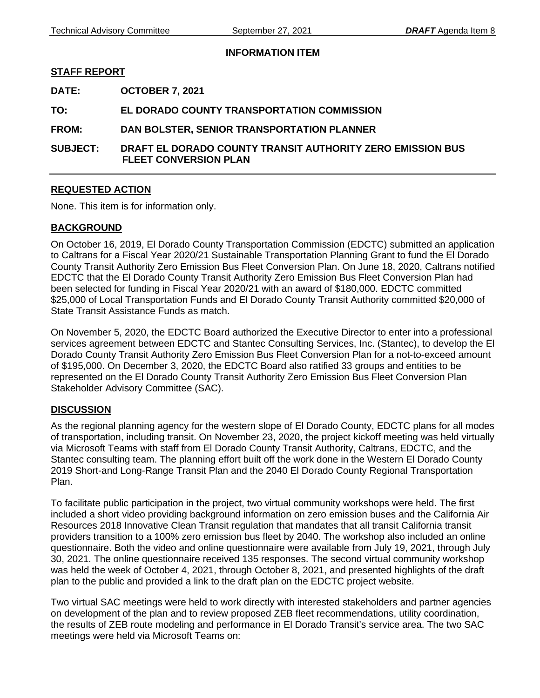**INFORMATION ITEM** 

## <span id="page-21-0"></span>**STAFF REPORT**

**DATE: OCTOBER 7, 2021** 

**TO: EL DORADO COUNTY TRANSPORTATION COMMISSION** 

**FROM: DAN BOLSTER, SENIOR TRANSPORTATION PLANNER** 

**SUBJECT: DRAFT EL DORADO COUNTY TRANSIT AUTHORITY ZERO EMISSION BUS FLEET CONVERSION PLAN** 

## **REQUESTED ACTION**

None. This item is for information only.

## **BACKGROUND**

On October 16, 2019, El Dorado County Transportation Commission (EDCTC) submitted an application to Caltrans for a Fiscal Year 2020/21 Sustainable Transportation Planning Grant to fund the El Dorado County Transit Authority Zero Emission Bus Fleet Conversion Plan. On June 18, 2020, Caltrans notified EDCTC that the El Dorado County Transit Authority Zero Emission Bus Fleet Conversion Plan had been selected for funding in Fiscal Year 2020/21 with an award of \$180,000. EDCTC committed \$25,000 of Local Transportation Funds and El Dorado County Transit Authority committed \$20,000 of State Transit Assistance Funds as match.

On November 5, 2020, the EDCTC Board authorized the Executive Director to enter into a professional services agreement between EDCTC and Stantec Consulting Services, Inc. (Stantec), to develop the El Dorado County Transit Authority Zero Emission Bus Fleet Conversion Plan for a not-to-exceed amount of \$195,000. On December 3, 2020, the EDCTC Board also ratified 33 groups and entities to be represented on the El Dorado County Transit Authority Zero Emission Bus Fleet Conversion Plan Stakeholder Advisory Committee (SAC).

## **DISCUSSION**

As the regional planning agency for the western slope of El Dorado County, EDCTC plans for all modes of transportation, including transit. On November 23, 2020, the project kickoff meeting was held virtually via Microsoft Teams with staff from El Dorado County Transit Authority, Caltrans, EDCTC, and the Stantec consulting team. The planning effort built off the work done in the Western El Dorado County 2019 Short-and Long-Range Transit Plan and the 2040 El Dorado County Regional Transportation Plan.

To facilitate public participation in the project, two virtual community workshops were held. The first included a short video providing background information on zero emission buses and the California Air Resources 2018 Innovative Clean Transit regulation that mandates that all transit California transit providers transition to a 100% zero emission bus fleet by 2040. The workshop also included an online questionnaire. Both the video and online questionnaire were available from July 19, 2021, through July 30, 2021. The online questionnaire received 135 responses. The second virtual community workshop was held the week of October 4, 2021, through October 8, 2021, and presented highlights of the draft plan to the public and provided a link to the draft plan on the EDCTC project website.

Two virtual SAC meetings were held to work directly with interested stakeholders and partner agencies on development of the plan and to review proposed ZEB fleet recommendations, utility coordination, the results of ZEB route modeling and performance in El Dorado Transit's service area. The two SAC meetings were held via Microsoft Teams on: